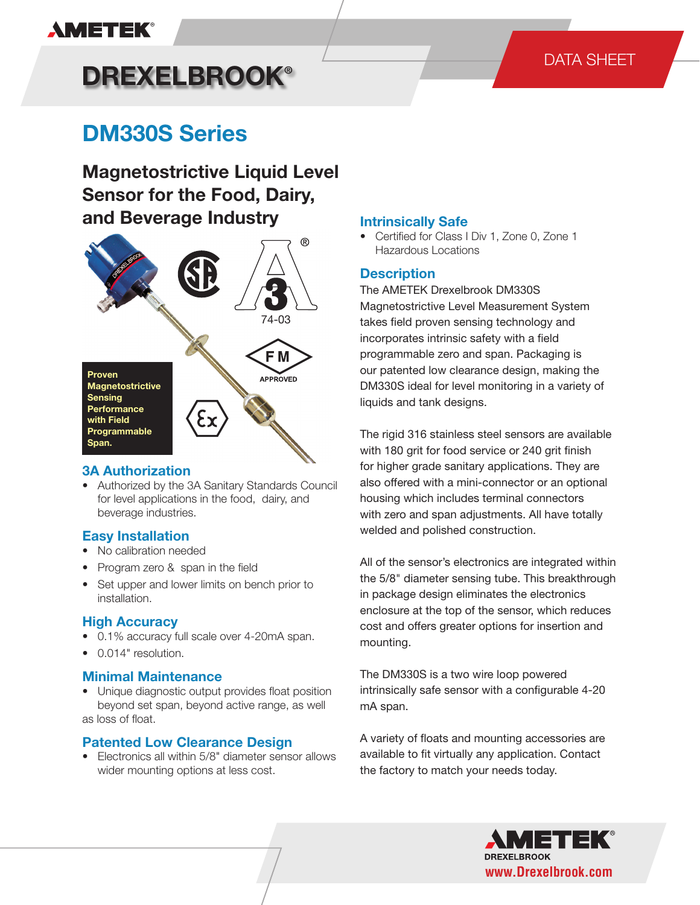# **AMETEK®**

### DATA SHEET

# **DREXELBROOK®**

# **DM330S Series**

**Magnetostrictive Liquid Level Sensor for the Food, Dairy, and Beverage Industry**



#### **3A Authorization**

• Authorized by the 3A Sanitary Standards Council for level applications in the food, dairy, and beverage industries.

#### **Easy Installation**

- No calibration needed
- Program zero & span in the field
- Set upper and lower limits on bench prior to installation.

#### **High Accuracy**

- 0.1% accuracy full scale over 4-20mA span.
- 0.014" resolution.

#### **Minimal Maintenance**

• Unique diagnostic output provides float position beyond set span, beyond active range, as well as loss of float.

#### **Patented Low Clearance Design**

• Electronics all within 5/8" diameter sensor allows wider mounting options at less cost.

#### **Intrinsically Safe**

• Certified for Class I Div 1, Zone 0, Zone 1 Hazardous Locations

#### **Description**

The AMETEK Drexelbrook DM330S Magnetostrictive Level Measurement System takes field proven sensing technology and incorporates intrinsic safety with a field programmable zero and span. Packaging is our patented low clearance design, making the DM330S ideal for level monitoring in a variety of liquids and tank designs.

The rigid 316 stainless steel sensors are available with 180 grit for food service or 240 grit finish for higher grade sanitary applications. They are also offered with a mini-connector or an optional housing which includes terminal connectors with zero and span adjustments. All have totally welded and polished construction.

All of the sensor's electronics are integrated within the 5/8" diameter sensing tube. This breakthrough in package design eliminates the electronics enclosure at the top of the sensor, which reduces cost and offers greater options for insertion and mounting.

The DM330S is a two wire loop powered intrinsically safe sensor with a configurable 4-20 mA span.

A variety of floats and mounting accessories are available to fit virtually any application. Contact the factory to match your needs today.

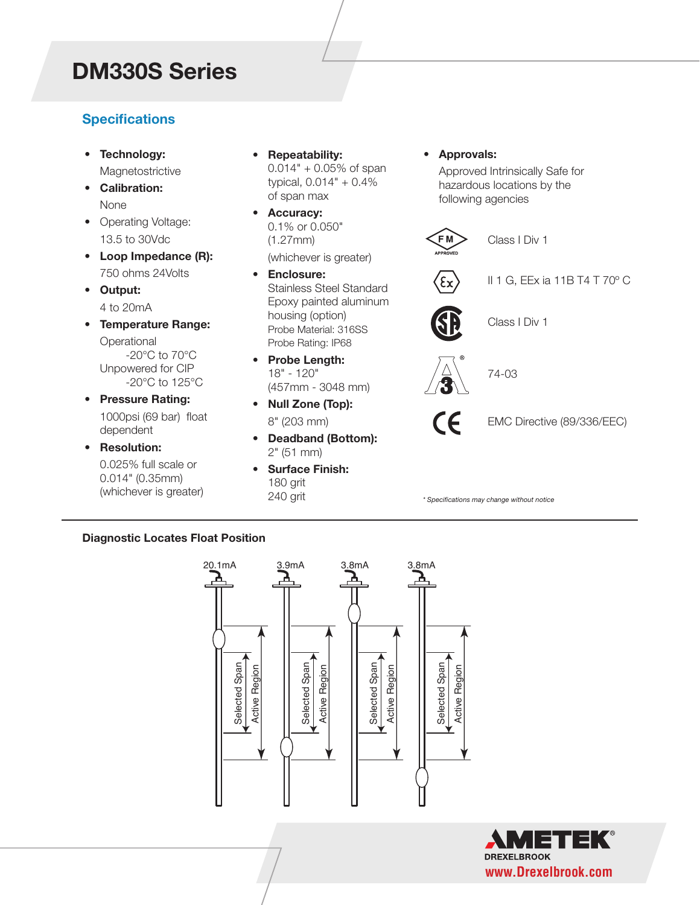## *DM330S Series* **DM330S Series**

### **Specifications**

- **Technology: Magnetostrictive**
- **Calibration:** None
- Operating Voltage: 13.5 to 30Vdc
- **Loop Impedance (R):** 750 ohms 24Volts
- **Output:** 4 to 20mA
- **Temperature Range: Operational** -20°C to 70°C Unpowered for CIP -20°C to 125°C
- **Pressure Rating:** 1000psi (69 bar) float dependent
- **Resolution:**

 0.025% full scale or 0.014" (0.35mm) (whichever is greater)

- **Repeatability:** 0.014" + 0.05% of span typical, 0.014" + 0.4% of span max
- **Accuracy:** 0.1% or 0.050" (1.27mm) (whichever is greater)
- **Enclosure:** Stainless Steel Standard Epoxy painted aluminum housing (option) Probe Material: 316SS Probe Rating: IP68
- **Probe Length:** 18" - 120" (457mm - 3048 mm)
- **Null Zone (Top):** 8" (203 mm)
- **Deadband (Bottom):** 2" (51 mm)
- **Surface Finish:** 180 grit 240 grit

**• Approvals:**

 Approved Intrinsically Safe for hazardous locations by the following agencies

FM<sup></sup> Class I Div 1 II 1 G, EEx ia 11B T4 T 70º C Class I Div 1 74-03  $\epsilon$ EMC Directive (89/336/EEC)

*\* Specifications may change without notice*

#### **Diagnostic Locates Float Position**



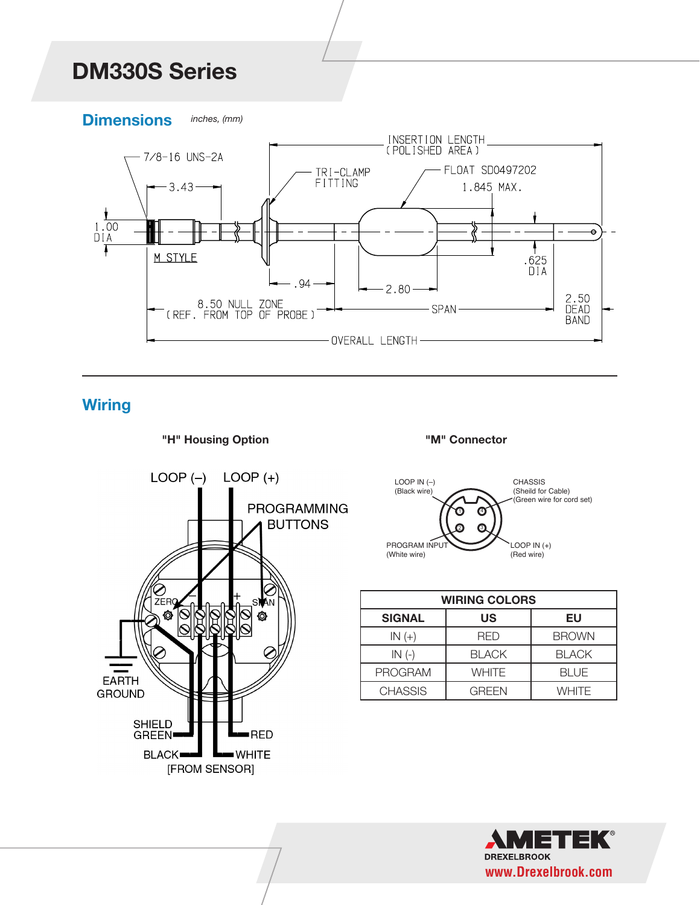## *DM330S Series* **DM330S Series**





**Wiring**





**"M" Connector**



| <b>WIRING COLORS</b> |              |              |
|----------------------|--------------|--------------|
| <b>SIGNAL</b>        | US           | EU           |
| $IN(+)$              | <b>RFD</b>   | <b>BROWN</b> |
| $IN(-)$              | <b>BLACK</b> | <b>BLACK</b> |
| <b>PROGRAM</b>       | WHITE        | <b>BLUE</b>  |
| <b>CHASSIS</b>       | GRFFN        | WHITF        |